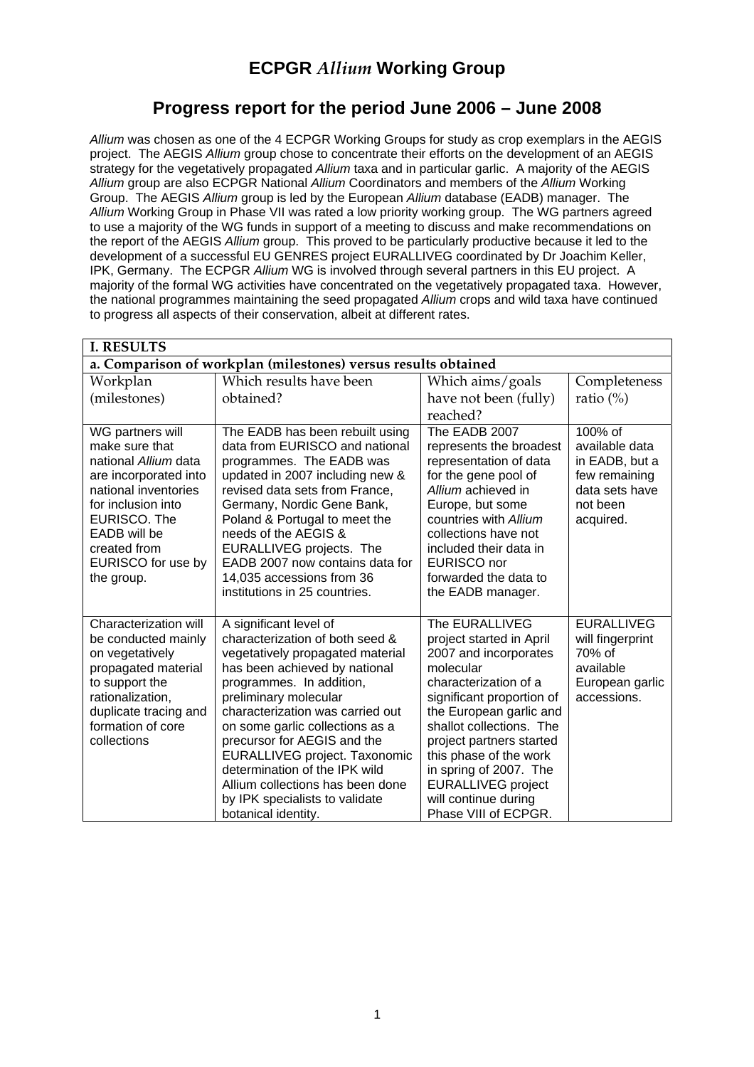# **ECPGR** *Allium* **Working Group**

## **Progress report for the period June 2006 – June 2008**

*Allium* was chosen as one of the 4 ECPGR Working Groups for study as crop exemplars in the AEGIS project. The AEGIS *Allium* group chose to concentrate their efforts on the development of an AEGIS strategy for the vegetatively propagated *Allium* taxa and in particular garlic. A majority of the AEGIS *Allium* group are also ECPGR National *Allium* Coordinators and members of the *Allium* Working Group. The AEGIS *Allium* group is led by the European *Allium* database (EADB) manager. The *Allium* Working Group in Phase VII was rated a low priority working group. The WG partners agreed to use a majority of the WG funds in support of a meeting to discuss and make recommendations on the report of the AEGIS *Allium* group. This proved to be particularly productive because it led to the development of a successful EU GENRES project EURALLIVEG coordinated by Dr Joachim Keller, IPK, Germany. The ECPGR *Allium* WG is involved through several partners in this EU project. A majority of the formal WG activities have concentrated on the vegetatively propagated taxa. However, the national programmes maintaining the seed propagated *Allium* crops and wild taxa have continued to progress all aspects of their conservation, albeit at different rates.

| <b>I. RESULTS</b>                                              |                                                                   |                                                      |                                 |  |
|----------------------------------------------------------------|-------------------------------------------------------------------|------------------------------------------------------|---------------------------------|--|
| a. Comparison of workplan (milestones) versus results obtained |                                                                   |                                                      |                                 |  |
| Workplan                                                       | Which results have been                                           | Which aims/goals                                     | Completeness                    |  |
| (milestones)                                                   | obtained?                                                         | have not been (fully)                                | ratio $(\%)$                    |  |
| WG partners will                                               | The EADB has been rebuilt using                                   | reached?<br>The EADB 2007                            | 100% of                         |  |
| make sure that                                                 | data from EURISCO and national                                    | represents the broadest                              | available data                  |  |
| national Allium data                                           | programmes. The EADB was                                          | representation of data                               | in EADB, but a                  |  |
| are incorporated into<br>national inventories                  | updated in 2007 including new &<br>revised data sets from France, | for the gene pool of<br>Allium achieved in           | few remaining<br>data sets have |  |
| for inclusion into                                             | Germany, Nordic Gene Bank,                                        | Europe, but some                                     | not been                        |  |
| EURISCO. The                                                   | Poland & Portugal to meet the                                     | countries with Allium                                | acquired.                       |  |
| EADB will be<br>created from                                   | needs of the AEGIS &<br>EURALLIVEG projects. The                  | collections have not<br>included their data in       |                                 |  |
| EURISCO for use by                                             | EADB 2007 now contains data for                                   | EURISCO nor                                          |                                 |  |
| the group.                                                     | 14,035 accessions from 36                                         | forwarded the data to                                |                                 |  |
|                                                                | institutions in 25 countries.                                     | the EADB manager.                                    |                                 |  |
| Characterization will                                          | A significant level of                                            | The EURALLIVEG                                       | <b>EURALLIVEG</b>               |  |
| be conducted mainly                                            | characterization of both seed &                                   | project started in April                             | will fingerprint<br>70% of      |  |
| on vegetatively<br>propagated material                         | vegetatively propagated material<br>has been achieved by national | 2007 and incorporates<br>molecular                   | available                       |  |
| to support the                                                 | programmes. In addition,                                          | characterization of a                                | European garlic                 |  |
| rationalization,<br>duplicate tracing and                      | preliminary molecular<br>characterization was carried out         | significant proportion of<br>the European garlic and | accessions.                     |  |
| formation of core                                              | on some garlic collections as a                                   | shallot collections. The                             |                                 |  |
| collections                                                    | precursor for AEGIS and the                                       | project partners started                             |                                 |  |
|                                                                | EURALLIVEG project. Taxonomic<br>determination of the IPK wild    | this phase of the work<br>in spring of 2007. The     |                                 |  |
|                                                                | Allium collections has been done                                  | <b>EURALLIVEG</b> project                            |                                 |  |
|                                                                | by IPK specialists to validate                                    | will continue during                                 |                                 |  |
|                                                                | botanical identity.                                               | Phase VIII of ECPGR.                                 |                                 |  |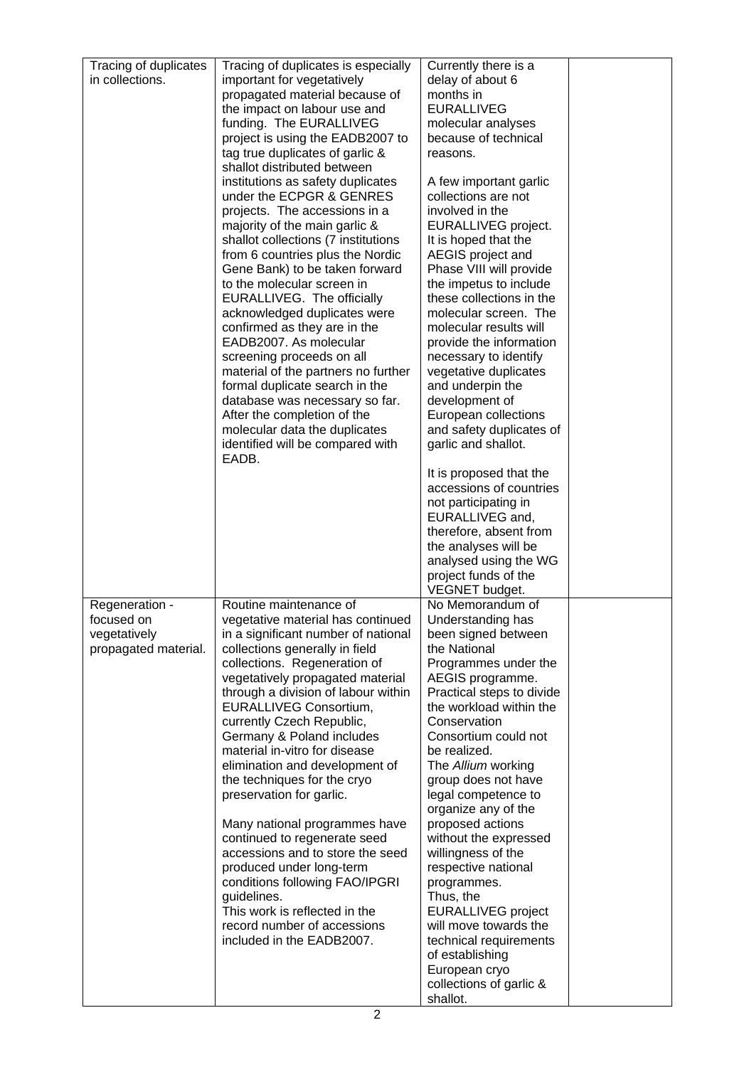| Tracing of duplicates<br>in collections.                             | Tracing of duplicates is especially<br>important for vegetatively<br>propagated material because of<br>the impact on labour use and<br>funding. The EURALLIVEG<br>project is using the EADB2007 to<br>tag true duplicates of garlic &<br>shallot distributed between                                                                                                                                                                                                                                                                                                                                                                                                                                                                                    | Currently there is a<br>delay of about 6<br>months in<br><b>EURALLIVEG</b><br>molecular analyses<br>because of technical<br>reasons.                                                                                                                                                                                                                                                                                                                                                                                                                                                                                 |  |
|----------------------------------------------------------------------|---------------------------------------------------------------------------------------------------------------------------------------------------------------------------------------------------------------------------------------------------------------------------------------------------------------------------------------------------------------------------------------------------------------------------------------------------------------------------------------------------------------------------------------------------------------------------------------------------------------------------------------------------------------------------------------------------------------------------------------------------------|----------------------------------------------------------------------------------------------------------------------------------------------------------------------------------------------------------------------------------------------------------------------------------------------------------------------------------------------------------------------------------------------------------------------------------------------------------------------------------------------------------------------------------------------------------------------------------------------------------------------|--|
|                                                                      | institutions as safety duplicates<br>under the ECPGR & GENRES<br>projects. The accessions in a<br>majority of the main garlic &<br>shallot collections (7 institutions<br>from 6 countries plus the Nordic<br>Gene Bank) to be taken forward<br>to the molecular screen in<br><b>EURALLIVEG.</b> The officially<br>acknowledged duplicates were<br>confirmed as they are in the<br>EADB2007. As molecular<br>screening proceeds on all<br>material of the partners no further<br>formal duplicate search in the<br>database was necessary so far.                                                                                                                                                                                                       | A few important garlic<br>collections are not<br>involved in the<br>EURALLIVEG project.<br>It is hoped that the<br>AEGIS project and<br>Phase VIII will provide<br>the impetus to include<br>these collections in the<br>molecular screen. The<br>molecular results will<br>provide the information<br>necessary to identify<br>vegetative duplicates<br>and underpin the<br>development of                                                                                                                                                                                                                          |  |
|                                                                      | After the completion of the<br>molecular data the duplicates<br>identified will be compared with<br>EADB.                                                                                                                                                                                                                                                                                                                                                                                                                                                                                                                                                                                                                                               | European collections<br>and safety duplicates of<br>garlic and shallot.                                                                                                                                                                                                                                                                                                                                                                                                                                                                                                                                              |  |
|                                                                      |                                                                                                                                                                                                                                                                                                                                                                                                                                                                                                                                                                                                                                                                                                                                                         | It is proposed that the<br>accessions of countries<br>not participating in<br>EURALLIVEG and,<br>therefore, absent from<br>the analyses will be<br>analysed using the WG<br>project funds of the                                                                                                                                                                                                                                                                                                                                                                                                                     |  |
|                                                                      |                                                                                                                                                                                                                                                                                                                                                                                                                                                                                                                                                                                                                                                                                                                                                         | VEGNET budget.                                                                                                                                                                                                                                                                                                                                                                                                                                                                                                                                                                                                       |  |
| Regeneration -<br>focused on<br>vegetatively<br>propagated material. | Routine maintenance of<br>vegetative material has continued<br>in a significant number of national<br>collections generally in field<br>collections. Regeneration of<br>vegetatively propagated material<br>through a division of labour within<br><b>EURALLIVEG Consortium,</b><br>currently Czech Republic,<br>Germany & Poland includes<br>material in-vitro for disease<br>elimination and development of<br>the techniques for the cryo<br>preservation for garlic.<br>Many national programmes have<br>continued to regenerate seed<br>accessions and to store the seed<br>produced under long-term<br>conditions following FAO/IPGRI<br>guidelines.<br>This work is reflected in the<br>record number of accessions<br>included in the EADB2007. | No Memorandum of<br>Understanding has<br>been signed between<br>the National<br>Programmes under the<br>AEGIS programme.<br>Practical steps to divide<br>the workload within the<br>Conservation<br>Consortium could not<br>be realized.<br>The Allium working<br>group does not have<br>legal competence to<br>organize any of the<br>proposed actions<br>without the expressed<br>willingness of the<br>respective national<br>programmes.<br>Thus, the<br><b>EURALLIVEG</b> project<br>will move towards the<br>technical requirements<br>of establishing<br>European cryo<br>collections of garlic &<br>shallot. |  |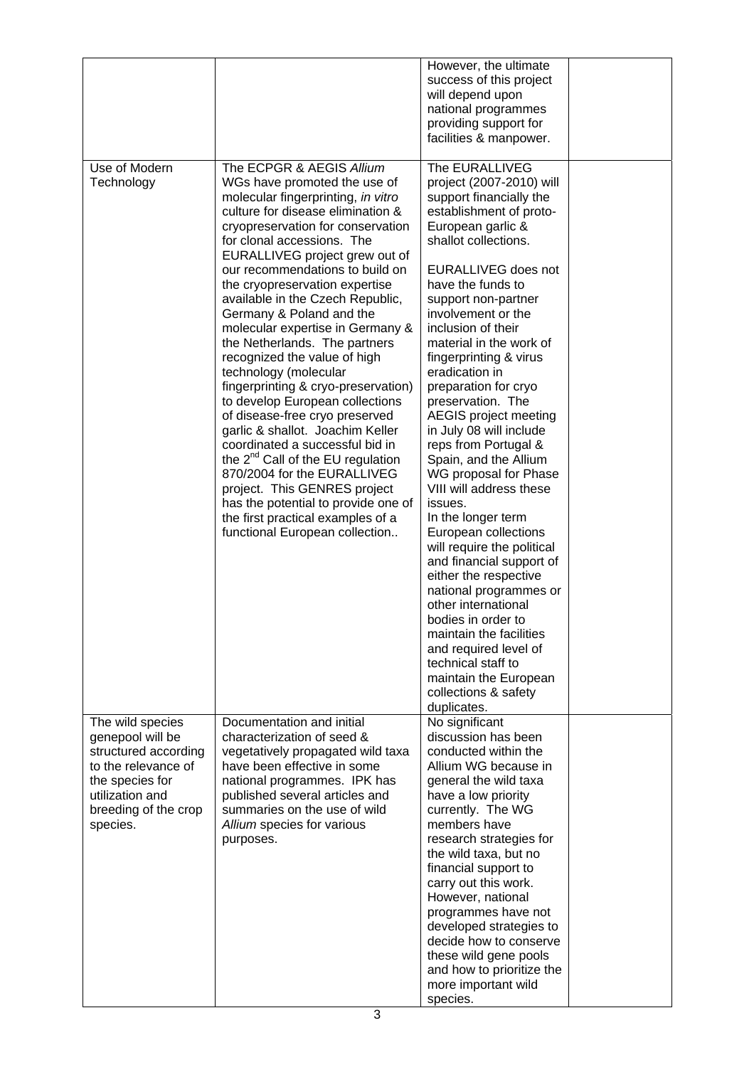|                                                                                                                                                               |                                                                                                                                                                                                                                                                                                                                                                                                                                                                                                                                                                                                                                                                                                                                                                                                                                                                                                                              | However, the ultimate<br>success of this project<br>will depend upon<br>national programmes<br>providing support for<br>facilities & manpower.                                                                                                                                                                                                                                                                                                                                                                                                                                                                                                                                                                                                                                                                                                                                                         |  |
|---------------------------------------------------------------------------------------------------------------------------------------------------------------|------------------------------------------------------------------------------------------------------------------------------------------------------------------------------------------------------------------------------------------------------------------------------------------------------------------------------------------------------------------------------------------------------------------------------------------------------------------------------------------------------------------------------------------------------------------------------------------------------------------------------------------------------------------------------------------------------------------------------------------------------------------------------------------------------------------------------------------------------------------------------------------------------------------------------|--------------------------------------------------------------------------------------------------------------------------------------------------------------------------------------------------------------------------------------------------------------------------------------------------------------------------------------------------------------------------------------------------------------------------------------------------------------------------------------------------------------------------------------------------------------------------------------------------------------------------------------------------------------------------------------------------------------------------------------------------------------------------------------------------------------------------------------------------------------------------------------------------------|--|
| Use of Modern<br>Technology                                                                                                                                   | The ECPGR & AEGIS Allium<br>WGs have promoted the use of<br>molecular fingerprinting, in vitro<br>culture for disease elimination &<br>cryopreservation for conservation<br>for clonal accessions. The<br>EURALLIVEG project grew out of<br>our recommendations to build on<br>the cryopreservation expertise<br>available in the Czech Republic,<br>Germany & Poland and the<br>molecular expertise in Germany &<br>the Netherlands. The partners<br>recognized the value of high<br>technology (molecular<br>fingerprinting & cryo-preservation)<br>to develop European collections<br>of disease-free cryo preserved<br>garlic & shallot. Joachim Keller<br>coordinated a successful bid in<br>the 2 <sup>nd</sup> Call of the EU regulation<br>870/2004 for the EURALLIVEG<br>project. This GENRES project<br>has the potential to provide one of<br>the first practical examples of a<br>functional European collection | The EURALLIVEG<br>project (2007-2010) will<br>support financially the<br>establishment of proto-<br>European garlic &<br>shallot collections.<br>EURALLIVEG does not<br>have the funds to<br>support non-partner<br>involvement or the<br>inclusion of their<br>material in the work of<br>fingerprinting & virus<br>eradication in<br>preparation for cryo<br>preservation. The<br>AEGIS project meeting<br>in July 08 will include<br>reps from Portugal &<br>Spain, and the Allium<br>WG proposal for Phase<br>VIII will address these<br>issues.<br>In the longer term<br>European collections<br>will require the political<br>and financial support of<br>either the respective<br>national programmes or<br>other international<br>bodies in order to<br>maintain the facilities<br>and required level of<br>technical staff to<br>maintain the European<br>collections & safety<br>duplicates. |  |
| The wild species<br>genepool will be<br>structured according<br>to the relevance of<br>the species for<br>utilization and<br>breeding of the crop<br>species. | Documentation and initial<br>characterization of seed &<br>vegetatively propagated wild taxa<br>have been effective in some<br>national programmes. IPK has<br>published several articles and<br>summaries on the use of wild<br>Allium species for various<br>purposes.                                                                                                                                                                                                                                                                                                                                                                                                                                                                                                                                                                                                                                                     | No significant<br>discussion has been<br>conducted within the<br>Allium WG because in<br>general the wild taxa<br>have a low priority<br>currently. The WG<br>members have<br>research strategies for<br>the wild taxa, but no<br>financial support to<br>carry out this work.<br>However, national<br>programmes have not<br>developed strategies to<br>decide how to conserve<br>these wild gene pools<br>and how to prioritize the<br>more important wild<br>species.                                                                                                                                                                                                                                                                                                                                                                                                                               |  |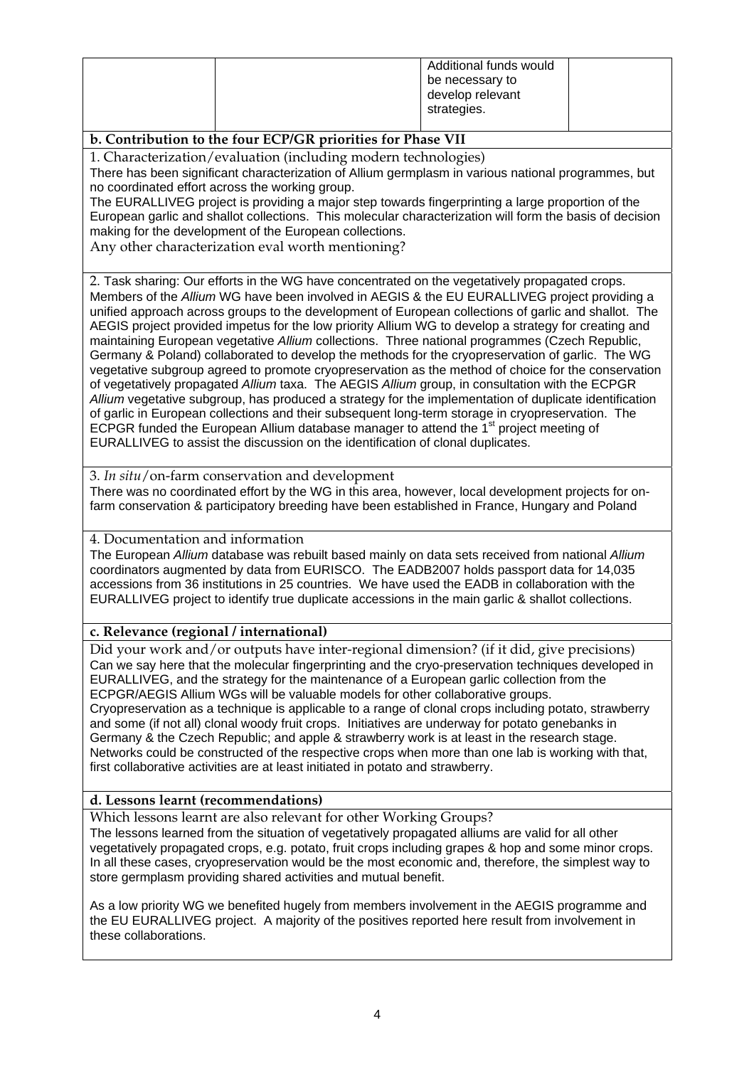|             | Additional funds would |
|-------------|------------------------|
|             | be necessary to        |
|             | develop relevant       |
| strategies. |                        |

### **b. Contribution to the four ECP/GR priorities for Phase VII**

1. Characterization/evaluation (including modern technologies)

There has been significant characterization of Allium germplasm in various national programmes, but no coordinated effort across the working group.

The EURALLIVEG project is providing a major step towards fingerprinting a large proportion of the European garlic and shallot collections. This molecular characterization will form the basis of decision making for the development of the European collections.

Any other characterization eval worth mentioning?

2. Task sharing: Our efforts in the WG have concentrated on the vegetatively propagated crops. Members of the *Allium* WG have been involved in AEGIS & the EU EURALLIVEG project providing a unified approach across groups to the development of European collections of garlic and shallot. The AEGIS project provided impetus for the low priority Allium WG to develop a strategy for creating and maintaining European vegetative *Allium* collections. Three national programmes (Czech Republic, Germany & Poland) collaborated to develop the methods for the cryopreservation of garlic. The WG vegetative subgroup agreed to promote cryopreservation as the method of choice for the conservation of vegetatively propagated *Allium* taxa. The AEGIS *Allium* group, in consultation with the ECPGR *Allium* vegetative subgroup, has produced a strategy for the implementation of duplicate identification of garlic in European collections and their subsequent long-term storage in cryopreservation. The ECPGR funded the European Allium database manager to attend the  $1<sup>st</sup>$  project meeting of EURALLIVEG to assist the discussion on the identification of clonal duplicates.

3. *In situ*/on-farm conservation and development There was no coordinated effort by the WG in this area, however, local development projects for onfarm conservation & participatory breeding have been established in France, Hungary and Poland

#### 4. Documentation and information

The European *Allium* database was rebuilt based mainly on data sets received from national *Allium* coordinators augmented by data from EURISCO. The EADB2007 holds passport data for 14,035 accessions from 36 institutions in 25 countries. We have used the EADB in collaboration with the EURALLIVEG project to identify true duplicate accessions in the main garlic & shallot collections.

### **c. Relevance (regional / international)**

Did your work and/or outputs have inter-regional dimension? (if it did, give precisions) Can we say here that the molecular fingerprinting and the cryo-preservation techniques developed in EURALLIVEG, and the strategy for the maintenance of a European garlic collection from the ECPGR/AEGIS Allium WGs will be valuable models for other collaborative groups. Cryopreservation as a technique is applicable to a range of clonal crops including potato, strawberry and some (if not all) clonal woody fruit crops. Initiatives are underway for potato genebanks in Germany & the Czech Republic; and apple & strawberry work is at least in the research stage. Networks could be constructed of the respective crops when more than one lab is working with that, first collaborative activities are at least initiated in potato and strawberry.

#### **d. Lessons learnt (recommendations)**

Which lessons learnt are also relevant for other Working Groups?

The lessons learned from the situation of vegetatively propagated alliums are valid for all other vegetatively propagated crops, e.g. potato, fruit crops including grapes & hop and some minor crops. In all these cases, cryopreservation would be the most economic and, therefore, the simplest way to store germplasm providing shared activities and mutual benefit.

As a low priority WG we benefited hugely from members involvement in the AEGIS programme and the EU EURALLIVEG project. A majority of the positives reported here result from involvement in these collaborations.